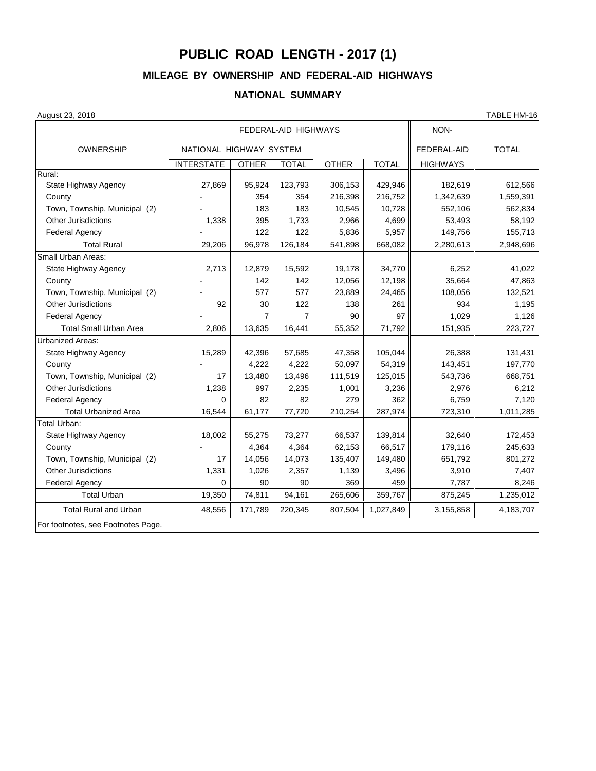## **PUBLIC ROAD LENGTH - 2017 (1)**

## **MILEAGE BY OWNERSHIP AND FEDERAL-AID HIGHWAYS**

## **NATIONAL SUMMARY**

| August 23, 2018 |  |  |
|-----------------|--|--|
|-----------------|--|--|

August 23, 2018 TABLE HM-16 FEDERAL-AID HIGHWAYS **NON-**OWNERSHIP TOTAL NATIONAL HIGHWAY SYSTEM TOTAL TOTAL TOTAL INTERSTATE | OTHER | TOTAL | OTHER | TOTAL | HIGHWAYS Rural: State Highway Agency 27,869 95,924 | 123,793 | 306,153 | 429,946 | 182,619 | 612,566 County 354 | 354 | 216,398 | 216,752 || 1,342,639 || 1,559,391 Town, Township, Municipal (2) | - | 183 | 183 | 10,545 | 10,728 | 552,106 | 562,834 Other Jurisdictions 1,338 1,338 1,733 2,966 4,699 53,493 58,192 Federal Agency - | 122 | 122 | 5,836 | 5,957 || 149,756 || 155,713 Total Rural 29,206 96,978 126,184 541,898 668,082 2,280,613 2,948,696 Small Urban Areas: State Highway Agency 2,713 | 12,879 | 15,592 | 19,178 | 34,770 | 6,252 | 41,022 County - 142 | 142 | 12,056 | 12,198 || 35,664 || 47,863 Town, Township, Municipal (2) | - | 577 | 577 | 23,889 | 24,465 | 108,056 | 132,521 Other Jurisdictions 92 30 122 138 261 934 1,195 1,029 || 7 || 7 || 90 || 97 || 1,029 || 1,126 1,126 || 1,126 | Total Small Urban Area 2,806 13,635 16,441 55,352 71,792 151,935 223,727 Urbanized Areas: State Highway Agency 15,289 42,396 57,685 47,358 105,044 26,388 131,431 County - 4,222 4,222 50,097 54,319 143,451 197,770 Town, Township, Municipal (2) | 17 | 13,480 | 13,496 | 111,519 | 125,015 | 543,736 | 668,751 Other Jurisdictions 1,238 997 2,235 1,001 3,236 2,976 6,212 Federal Agency T,120 Total Urbanized Area 16,544 61,177 77,720 210,254 287,974 723,310 1,011,285 Total Urban: State Highway Agency 18,002 55,275 73,277 66,537 139,814 32,640 172,453 County - 4,364 | 4,364 | 62,153 | 66,517 || 179,116 || 245,633 Town, Township, Municipal (2)  $\begin{vmatrix} 1 & 14,056 & 14,073 & 135,407 & 149,480 & 651,792 & 801,272 \end{vmatrix}$  801,272 Other Jurisdictions 1,331 1,026 2,357 1,139 3,496 3,910 7,407 Federal Agency 0 | 90 | 90 | 369 | 459 || 7,787 || 8,246 Total Urban | 19,350 | 74,811 | 94,161 | 265,606 | 359,767 || 875,245 || 1,235,012 Total Rural and Urban  $\begin{array}{|l} \hline \end{array}$  48,556 | 171,789 | 220,345 | 807,504 | 1,027,849 | 3,155,858 | 4,183,707 For footnotes, see Footnotes Page.